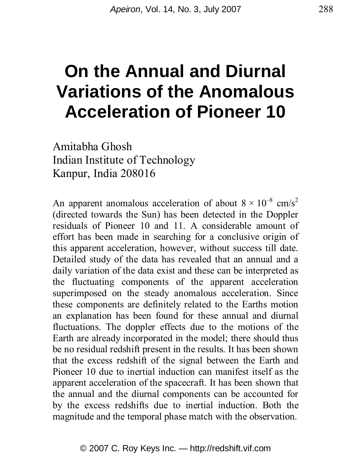# **On the Annual and Diurnal Variations of the Anomalous Acceleration of Pioneer 10**

Amitabha Ghosh Indian Institute of Technology Kanpur, India 208016

An apparent anomalous acceleration of about  $8 \times 10^{-8}$  cm/s<sup>2</sup> (directed towards the Sun) has been detected in the Doppler residuals of Pioneer 10 and 11. A considerable amount of effort has been made in searching for a conclusive origin of this apparent acceleration, however, without success till date. Detailed study of the data has revealed that an annual and a daily variation of the data exist and these can be interpreted as the fluctuating components of the apparent acceleration superimposed on the steady anomalous acceleration. Since these components are definitely related to the Earths motion an explanation has been found for these annual and diurnal fluctuations. The doppler effects due to the motions of the Earth are already incorporated in the model; there should thus be no residual redshift present in the results. It has been shown that the excess redshift of the signal between the Earth and Pioneer 10 due to inertial induction can manifest itself as the apparent acceleration of the spacecraft. It has been shown that the annual and the diurnal components can be accounted for by the excess redshifts due to inertial induction. Both the magnitude and the temporal phase match with the observation.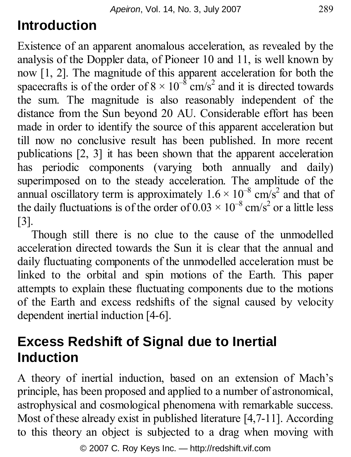# **Introduction**

Existence of an apparent anomalous acceleration, as revealed by the analysis of the Doppler data, of Pioneer 10 and 11, is well known by now [1, 2]. The magnitude of this apparent acceleration for both the spacecrafts is of the order of  $8 \times 10^{-8}$  cm/s<sup>2</sup> and it is directed towards the sum. The magnitude is also reasonably independent of the distance from the Sun beyond 20 AU. Considerable effort has been made in order to identify the source of this apparent acceleration but till now no conclusive result has been published. In more recent publications [2, 3] it has been shown that the apparent acceleration has periodic components (varying both annually and daily) superimposed on to the steady acceleration. The amplitude of the annual oscillatory term is approximately  $1.6 \times 10^{-8}$  cm/s<sup>2</sup> and that of the daily fluctuations is of the order of  $0.03 \times 10^{-8}$  cm/s<sup>2</sup> or a little less [3].

Though still there is no clue to the cause of the unmodelled acceleration directed towards the Sun it is clear that the annual and daily fluctuating components of the unmodelled acceleration must be linked to the orbital and spin motions of the Earth. This paper attempts to explain these fluctuating components due to the motions of the Earth and excess redshifts of the signal caused by velocity dependent inertial induction [4-6].

## **Excess Redshift of Signal due to Inertial Induction**

A theory of inertial induction, based on an extension of Mach's principle, has been proposed and applied to a number of astronomical, astrophysical and cosmological phenomena with remarkable success. Most of these already exist in published literature [4,7-11]. According to this theory an object is subjected to a drag when moving with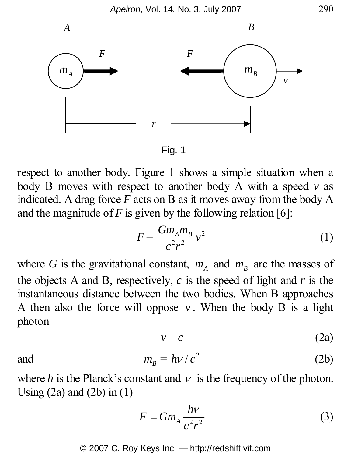

Fig. 1

respect to another body. Figure 1 shows a simple situation when a body B moves with respect to another body A with a speed *v* as indicated. A drag force *F* acts on B as it moves away from the body A and the magnitude of  $F$  is given by the following relation [6]:

$$
F = \frac{Gm_A m_B}{c^2 r^2} v^2 \tag{1}
$$

where *G* is the gravitational constant,  $m_A$  and  $m_B$  are the masses of the objects A and B, respectively, *c* is the speed of light and *r* is the instantaneous distance between the two bodies. When B approaches A then also the force will oppose  $v$ . When the body B is a light photon

$$
v = c \tag{2a}
$$

and 
$$
m_B = h\nu / c^2
$$
 (2b)

where *h* is the Planck's constant and  $v$  is the frequency of the photon. Using  $(2a)$  and  $(2b)$  in  $(1)$ 

$$
F = Gm_A \frac{h\nu}{c^2 r^2} \tag{3}
$$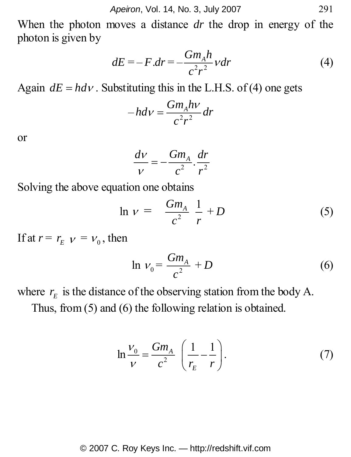When the photon moves a distance *dr* the drop in energy of the photon is given by

$$
dE = -F dr = -\frac{Gm_A h}{c^2 r^2} v dr \tag{4}
$$

Again  $dE = hdV$ . Substituting this in the L.H.S. of (4) one gets

$$
-hdv = \frac{Gm_Ahv}{c^2r^2}dr
$$

or

$$
\frac{dv}{v} = -\frac{Gm_A}{c^2} \cdot \frac{dr}{r^2}
$$

Solving the above equation one obtains

$$
\ln \nu = \frac{Gm_A}{c^2} \frac{1}{r} + D \tag{5}
$$

If at  $r = r_{E}$   $v = v_{0}$ , then

$$
\ln V_0 = \frac{Gm_A}{c^2} + D \tag{6}
$$

where  $r<sub>F</sub>$  is the distance of the observing station from the body A. Thus, from (5) and (6) the following relation is obtained.

$$
\ln \frac{V_0}{V} = \frac{Gm_A}{c^2} \left( \frac{1}{r_E} - \frac{1}{r} \right). \tag{7}
$$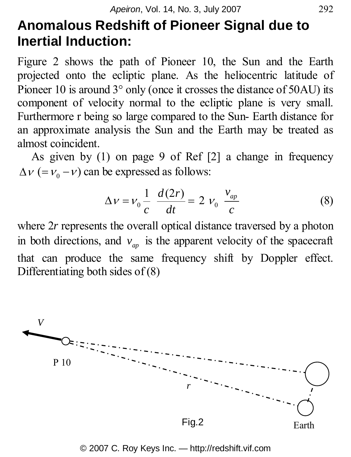## **Anomalous Redshift of Pioneer Signal due to Inertial Induction:**

Figure 2 shows the path of Pioneer 10, the Sun and the Earth projected onto the ecliptic plane. As the heliocentric latitude of Pioneer 10 is around  $3^{\circ}$  only (once it crosses the distance of 50AU) its component of velocity normal to the ecliptic plane is very small. Furthermore r being so large compared to the Sun- Earth distance for an approximate analysis the Sun and the Earth may be treated as almost coincident.

As given by (1) on page 9 of Ref [2] a change in frequency  $\Delta v$  (=  $v_0$  –  $v$ ) can be expressed as follows:

$$
\Delta v = v_0 \frac{1}{c} \frac{d(2r)}{dt} = 2 v_0 \frac{v_{ap}}{c}
$$
 (8)

where 2r represents the overall optical distance traversed by a photon in both directions, and  $v_{m}$  is the apparent velocity of the spacecraft that can produce the same frequency shift by Doppler effect. Differentiating both sides of (8)



© 2007 C. Roy Keys Inc. — http://redshift.vif.com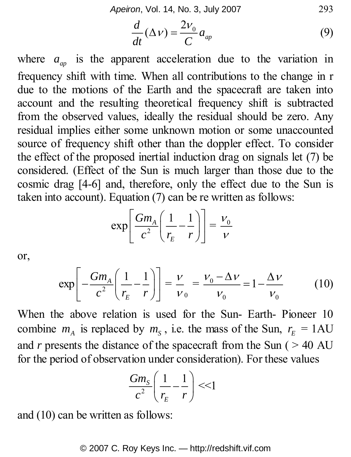*Apeiron*, Vol. 14, No. 3, July 2007 293

$$
\frac{d}{dt}(\Delta V) = \frac{2V_0}{C}a_{ap} \tag{9}
$$

where  $a_{\mu}$  is the apparent acceleration due to the variation in frequency shift with time. When all contributions to the change in r due to the motions of the Earth and the spacecraft are taken into account and the resulting theoretical frequency shift is subtracted from the observed values, ideally the residual should be zero. Any residual implies either some unknown motion or some unaccounted source of frequency shift other than the doppler effect. To consider the effect of the proposed inertial induction drag on signals let (7) be considered. (Effect of the Sun is much larger than those due to the cosmic drag [4-6] and, therefore, only the effect due to the Sun is taken into account). Equation (7) can be re written as follows:

$$
\exp\left[\frac{Gm_A}{c^2}\left(\frac{1}{r_E}-\frac{1}{r}\right)\right]=\frac{V_0}{V}
$$

or,

$$
\exp\left[-\frac{Gm_A}{c^2}\left(\frac{1}{r_E} - \frac{1}{r}\right)\right] = \frac{V}{V_0} = \frac{V_0 - \Delta V}{V_0} = 1 - \frac{\Delta V}{V_0} \tag{10}
$$

When the above relation is used for the Sun- Earth- Pioneer 10 combine  $m_A$  is replaced by  $m_S$ , i.e. the mass of the Sun,  $r_E = 1 \text{AU}$ and  $r$  presents the distance of the spacecraft from the Sun ( $> 40$  AU for the period of observation under consideration). For these values

$$
\frac{Gm_s}{c^2} \left( \frac{1}{r_E} - \frac{1}{r} \right) \ll 1
$$

and (10) can be written as follows: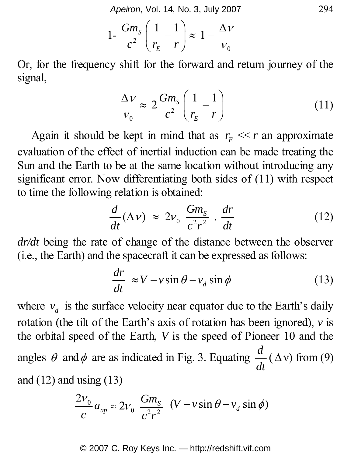*Apeiron*, Vol. 14, No. 3, July 2007 294

$$
1 - \frac{Gm_s}{c^2} \left( \frac{1}{r_E} - \frac{1}{r} \right) \approx 1 - \frac{\Delta V}{V_0}
$$

Or, for the frequency shift for the forward and return journey of the signal,

$$
\frac{\Delta v}{v_0} \approx 2 \frac{Gm_s}{c^2} \left( \frac{1}{r_E} - \frac{1}{r} \right) \tag{11}
$$

Again it should be kept in mind that as  $r_r \ll r$  an approximate evaluation of the effect of inertial induction can be made treating the Sun and the Earth to be at the same location without introducing any significant error. Now differentiating both sides of (11) with respect to time the following relation is obtained:

$$
\frac{d}{dt}(\Delta v) \approx 2v_0 \frac{Gm_s}{c^2 r^2} \cdot \frac{dr}{dt}
$$
 (12)

*dr/dt* being the rate of change of the distance between the observer (i.e., the Earth) and the spacecraft it can be expressed as follows:

$$
\frac{dr}{dt} \approx V - v \sin \theta - v_d \sin \phi \tag{13}
$$

where  $v_d$  is the surface velocity near equator due to the Earth's daily rotation (the tilt of the Earth's axis of rotation has been ignored), *v* is the orbital speed of the Earth, *V* is the speed of Pioneer 10 and the angles  $\theta$  and  $\phi$  are as indicated in Fig. 3. Equating  $\frac{d}{dt}(\Delta v)$  from (9) and  $(12)$  and using  $(13)$ 

$$
\frac{2v_0}{c}a_{ap} \approx 2v_0 \frac{Gm_s}{c^2r^2} (V - v \sin \theta - v_d \sin \phi)
$$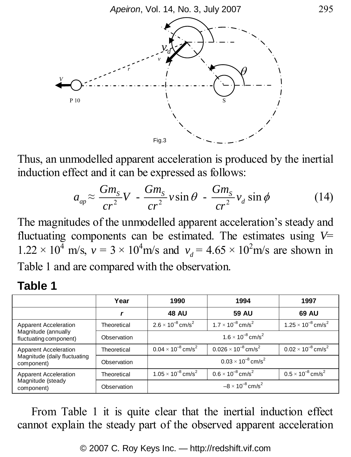

Thus, an unmodelled apparent acceleration is produced by the inertial induction effect and it can be expressed as follows:

$$
a_{ap} \approx \frac{Gm_s}{cr^2} V - \frac{Gm_s}{cr^2} v \sin \theta - \frac{Gm_s}{cr^2} v_d \sin \phi \tag{14}
$$

The magnitudes of the unmodelled apparent acceleration's steady and fluctuating components can be estimated. The estimates using *V*=  $1.22 \times 10^4$  m/s,  $v = 3 \times 10^4$  m/s and  $v_d = 4.65 \times 10^2$  m/s are shown in Table 1 and are compared with the observation.

#### **Table 1**

|                                                                        | Year        | 1990                                    | 1994                                     | 1997                                    |
|------------------------------------------------------------------------|-------------|-----------------------------------------|------------------------------------------|-----------------------------------------|
|                                                                        |             | <b>48 AU</b>                            | 59 AU                                    | 69 AU                                   |
| Apparent Acceleration<br>Magnitude (annually<br>fluctuating component) | Theoretical | $2.6 \times 10^{-8}$ cm/s <sup>2</sup>  | $1.7 \times 10^{-8}$ cm/s <sup>2</sup>   | $1.25 \times 10^{-8}$ cm/s <sup>2</sup> |
|                                                                        | Observation | $1.6 \times 10^{-8}$ cm/s <sup>2</sup>  |                                          |                                         |
| Apparent Acceleration<br>Magnitude (daily fluctuating<br>component)    | Theoretical | $0.04 \times 10^{-8}$ cm/s <sup>2</sup> | $0.026 \times 10^{-8}$ cm/s <sup>2</sup> | $0.02 \times 10^{-8}$ cm/s <sup>2</sup> |
|                                                                        | Observation | $0.03 \times 10^{-8}$ cm/s <sup>2</sup> |                                          |                                         |
| Apparent Acceleration<br>Magnitude (steady<br>component)               | Theoretical | $1.05 \times 10^{-8}$ cm/s <sup>2</sup> | $0.6 \times 10^{-8}$ cm/s <sup>2</sup>   | $0.5 \times 10^{-8}$ cm/s <sup>2</sup>  |
|                                                                        | Observation | $-8 \times 10^{-8}$ cm/s <sup>2</sup>   |                                          |                                         |

From Table 1 it is quite clear that the inertial induction effect cannot explain the steady part of the observed apparent acceleration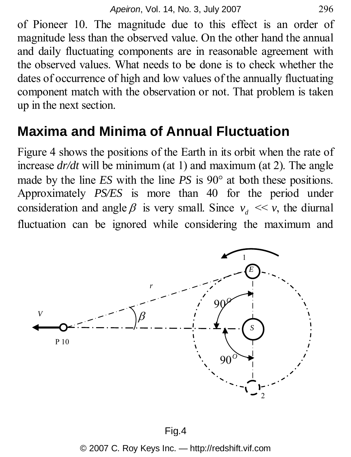of Pioneer 10. The magnitude due to this effect is an order of magnitude less than the observed value. On the other hand the annual and daily fluctuating components are in reasonable agreement with the observed values. What needs to be done is to check whether the dates of occurrence of high and low values of the annually fluctuating component match with the observation or not. That problem is taken up in the next section.

## **Maxima and Minima of Annual Fluctuation**

Figure 4 shows the positions of the Earth in its orbit when the rate of increase *dr/dt* will be minimum (at 1) and maximum (at 2). The angle made by the line *ES* with the line *PS* is 90° at both these positions. Approximately *PS/ES* is more than 40 for the period under consideration and angle  $\beta$  is very small. Since  $v_d \ll v$ , the diurnal fluctuation can be ignored while considering the maximum and

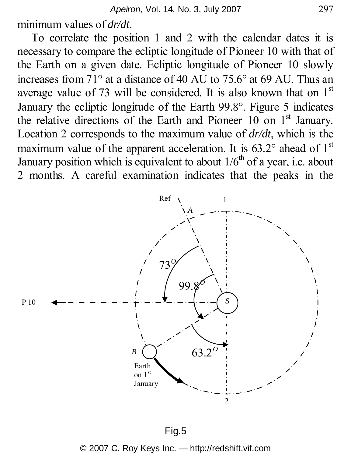minimum values of *dr/dt.*

To correlate the position 1 and 2 with the calendar dates it is necessary to compare the ecliptic longitude of Pioneer 10 with that of the Earth on a given date. Ecliptic longitude of Pioneer 10 slowly increases from 71° at a distance of 40 AU to 75.6° at 69 AU. Thus an average value of 73 will be considered. It is also known that on  $1<sup>st</sup>$ January the ecliptic longitude of the Earth 99.8°. Figure 5 indicates the relative directions of the Earth and Pioneer 10 on  $1<sup>st</sup>$  January. Location 2 corresponds to the maximum value of *dr/dt*, which is the maximum value of the apparent acceleration. It is  $63.2^{\circ}$  ahead of 1<sup>st</sup> January position which is equivalent to about  $1/6<sup>th</sup>$  of a year, i.e. about 2 months. A careful examination indicates that the peaks in the

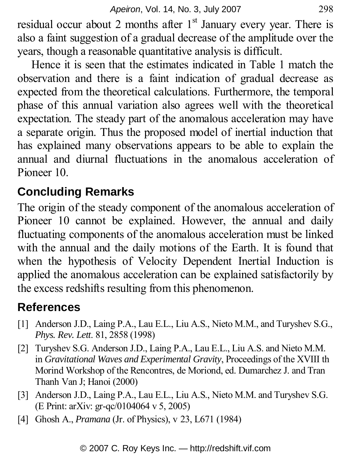residual occur about 2 months after  $1<sup>st</sup>$  January every year. There is also a faint suggestion of a gradual decrease of the amplitude over the years, though a reasonable quantitative analysis is difficult.

Hence it is seen that the estimates indicated in Table 1 match the observation and there is a faint indication of gradual decrease as expected from the theoretical calculations. Furthermore, the temporal phase of this annual variation also agrees well with the theoretical expectation. The steady part of the anomalous acceleration may have a separate origin. Thus the proposed model of inertial induction that has explained many observations appears to be able to explain the annual and diurnal fluctuations in the anomalous acceleration of Pioneer 10.

### **Concluding Remarks**

The origin of the steady component of the anomalous acceleration of Pioneer 10 cannot be explained. However, the annual and daily fluctuating components of the anomalous acceleration must be linked with the annual and the daily motions of the Earth. It is found that when the hypothesis of Velocity Dependent Inertial Induction is applied the anomalous acceleration can be explained satisfactorily by the excess redshifts resulting from this phenomenon.

### **References**

- [1] Anderson J.D., Laing P.A., Lau E.L., Liu A.S., Nieto M.M., and Turyshev S.G., *Phys. Rev. Lett*. 81, 2858 (1998)
- [2] Turyshev S.G. Anderson J.D., Laing P.A., Lau E.L., Liu A.S. and Nieto M.M. in *Gravitational Waves and Experimental Gravity*, Proceedings of the XVIII th Morind Workshop of the Rencontres, de Moriond, ed. Dumarchez J. and Tran Thanh Van J; Hanoi (2000)
- [3] Anderson J.D., Laing P.A., Lau E.L., Liu A.S., Nieto M.M. and Turyshev S.G. (E Print: arXiv: gr-qc/0104064 v 5, 2005)
- [4] Ghosh A., *Pramana* (Jr. of Physics), v 23, L671 (1984)